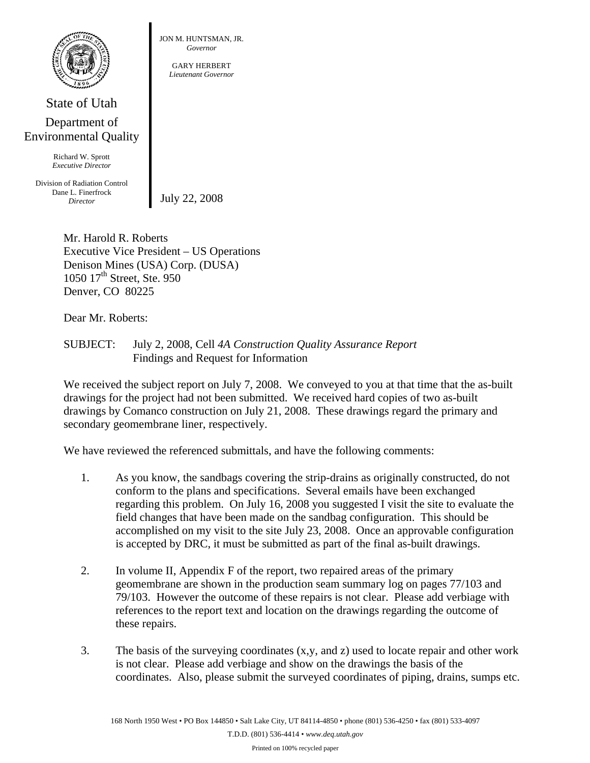

## State of Utah Department of Environmental Quality

Richard W. Sprott *Executive Director* 

Division of Radiation Control Dane L. Finerfrock *Director* July 22, 2008

JON M. HUNTSMAN, JR. *Governor* 

> GARY HERBERT *Lieutenant Governor*

Mr. Harold R. Roberts Executive Vice President – US Operations Denison Mines (USA) Corp. (DUSA) 1050 17<sup>th</sup> Street, Ste. 950 Denver, CO 80225

Dear Mr. Roberts:

SUBJECT: July 2, 2008, Cell *4A Construction Quality Assurance Report* Findings and Request for Information

We received the subject report on July 7, 2008. We conveyed to you at that time that the as-built drawings for the project had not been submitted. We received hard copies of two as-built drawings by Comanco construction on July 21, 2008. These drawings regard the primary and secondary geomembrane liner, respectively.

We have reviewed the referenced submittals, and have the following comments:

- 1. As you know, the sandbags covering the strip-drains as originally constructed, do not conform to the plans and specifications. Several emails have been exchanged regarding this problem. On July 16, 2008 you suggested I visit the site to evaluate the field changes that have been made on the sandbag configuration. This should be accomplished on my visit to the site July 23, 2008. Once an approvable configuration is accepted by DRC, it must be submitted as part of the final as-built drawings.
- 2. In volume II, Appendix F of the report, two repaired areas of the primary geomembrane are shown in the production seam summary log on pages 77/103 and 79/103. However the outcome of these repairs is not clear. Please add verbiage with references to the report text and location on the drawings regarding the outcome of these repairs.
- 3. The basis of the surveying coordinates (x,y, and z) used to locate repair and other work is not clear. Please add verbiage and show on the drawings the basis of the coordinates. Also, please submit the surveyed coordinates of piping, drains, sumps etc.